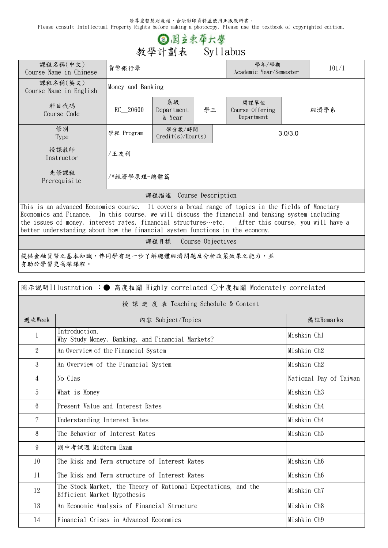請尊重智慧財產權,合法影印資料並使用正版教科書。

Please consult Intellectual Property Rights before making a photocopy. Please use the textbook of copyrighted edition.

## ◎ 國立東華大學 **教學計劃表 Syllabus**

| 課程名稱(中文)<br>Course Name in Chinese                                                                                                                                                                                                                                                                          | 貨幣銀行學             |                                  |  |         | 學年/學期<br>Academic Year/Semester       | 101/1 |      |  |
|-------------------------------------------------------------------------------------------------------------------------------------------------------------------------------------------------------------------------------------------------------------------------------------------------------------|-------------------|----------------------------------|--|---------|---------------------------------------|-------|------|--|
| 課程名稱(英文)<br>Course Name in English                                                                                                                                                                                                                                                                          | Money and Banking |                                  |  |         |                                       |       |      |  |
| 科目代碼<br>Course Code                                                                                                                                                                                                                                                                                         | EC 20600          | 系級<br>學三<br>Department<br>& Year |  |         | 開課單位<br>Course-Offering<br>Department |       | 經濟學系 |  |
| 修別<br>Type                                                                                                                                                                                                                                                                                                  | 學程 Program        | 學分數/時間<br>Credit(s)/Hour(s)      |  | 3.0/3.0 |                                       |       |      |  |
| 授課教師<br>Instructor                                                                                                                                                                                                                                                                                          | /王友利              |                                  |  |         |                                       |       |      |  |
| 先修課程<br>Prerequisite                                                                                                                                                                                                                                                                                        | /*經濟學原理-總體篇       |                                  |  |         |                                       |       |      |  |
| 課程描述 Course Description                                                                                                                                                                                                                                                                                     |                   |                                  |  |         |                                       |       |      |  |
| This is an advanced Economics course. It covers a broad range of topics in the fields of Monetary<br>Economics and Finance. In this course, we will discuss the financial and banking system including<br>the issues of money, interest rates, financial structures etc. After this course, you will have a |                   |                                  |  |         |                                       |       |      |  |

better understanding about how the financial system functions in the economy.

**課程目標 Course Objectives**

提供金融貨幣之基本知識,俾同學有進一步了解總體經濟問題及分析政策效果之能力,並 有助於學習更高深課程。

| 圖示說明Illustration :● 高度相關 Highly correlated ○中度相關 Moderately correlated |                                                                                               |                         |  |  |  |
|------------------------------------------------------------------------|-----------------------------------------------------------------------------------------------|-------------------------|--|--|--|
| 授 課 進 度 表 Teaching Schedule & Content                                  |                                                                                               |                         |  |  |  |
| 週次Week                                                                 | 内容 Subject/Topics                                                                             | 備註Remarks               |  |  |  |
| 1                                                                      | Introduction.<br>Why Study Money, Banking, and Financial Markets?                             | Mishkin Chl             |  |  |  |
| $\overline{2}$                                                         | An Overview of the Financial System                                                           | Mishkin Ch2             |  |  |  |
| 3                                                                      | An Overview of the Financial System                                                           | Mishkin Ch2             |  |  |  |
| $\overline{4}$                                                         | No Clas                                                                                       | National Day of Taiwan  |  |  |  |
| 5                                                                      | What is Money                                                                                 | Mishkin Ch <sub>3</sub> |  |  |  |
| 6                                                                      | Present Value and Interest Rates                                                              | Mishkin Ch4             |  |  |  |
| 7                                                                      | Understanding Interest Rates                                                                  | Mishkin Ch4             |  |  |  |
| 8                                                                      | The Behavior of Interest Rates                                                                | Mishkin Ch5             |  |  |  |
| 9                                                                      | 期中考試週 Midterm Exam                                                                            |                         |  |  |  |
| 10                                                                     | The Risk and Term structure of Interest Rates                                                 | Mishkin Ch6             |  |  |  |
| 11                                                                     | The Risk and Term structure of Interest Rates                                                 | Mishkin Ch6             |  |  |  |
| 12                                                                     | The Stock Market, the Theory of Rational Expectations, and the<br>Efficient Market Hypothesis | Mishkin Ch7             |  |  |  |
| 13                                                                     | An Economic Analysis of Financial Structure                                                   | Mishkin Ch8             |  |  |  |
| 14                                                                     | Financial Crises in Advanced Economies                                                        | Mishkin Ch9             |  |  |  |